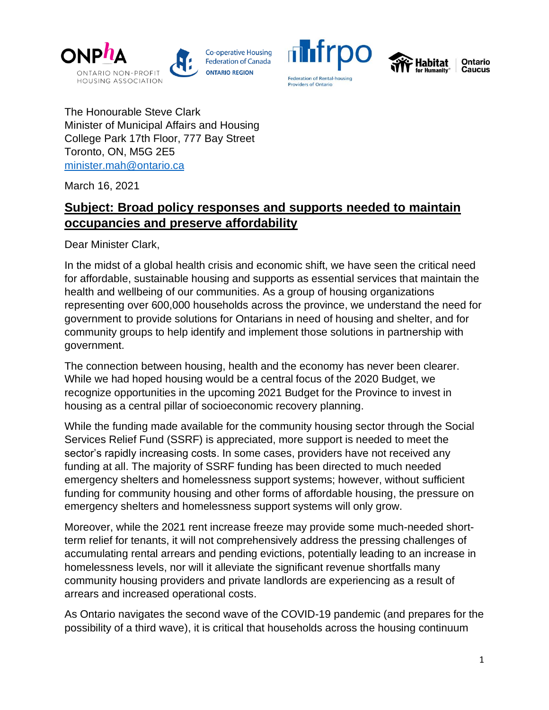





**Ontario Caucus** 

The Honourable Steve Clark Minister of Municipal Affairs and Housing College Park 17th Floor, 777 Bay Street Toronto, ON, M5G 2E5 minister.mah@ontario.ca

March 16, 2021

# **Subject: Broad policy responses and supports needed to maintain occupancies and preserve affordability**

Dear Minister Clark,

In the midst of a global health crisis and economic shift, we have seen the critical need for affordable, sustainable housing and supports as essential services that maintain the health and wellbeing of our communities. As a group of housing organizations representing over 600,000 households across the province, we understand the need for government to provide solutions for Ontarians in need of housing and shelter, and for community groups to help identify and implement those solutions in partnership with government.

The connection between housing, health and the economy has never been clearer. While we had hoped housing would be a central focus of the 2020 Budget, we recognize opportunities in the upcoming 2021 Budget for the Province to invest in housing as a central pillar of socioeconomic recovery planning.

While the funding made available for the community housing sector through the Social Services Relief Fund (SSRF) is appreciated, more support is needed to meet the sector's rapidly increasing costs. In some cases, providers have not received any funding at all. The majority of SSRF funding has been directed to much needed emergency shelters and homelessness support systems; however, without sufficient funding for community housing and other forms of affordable housing, the pressure on emergency shelters and homelessness support systems will only grow.

Moreover, while the 2021 rent increase freeze may provide some much-needed shortterm relief for tenants, it will not comprehensively address the pressing challenges of accumulating rental arrears and pending evictions, potentially leading to an increase in homelessness levels, nor will it alleviate the significant revenue shortfalls many community housing providers and private landlords are experiencing as a result of arrears and increased operational costs.

As Ontario navigates the second wave of the COVID-19 pandemic (and prepares for the possibility of a third wave), it is critical that households across the housing continuum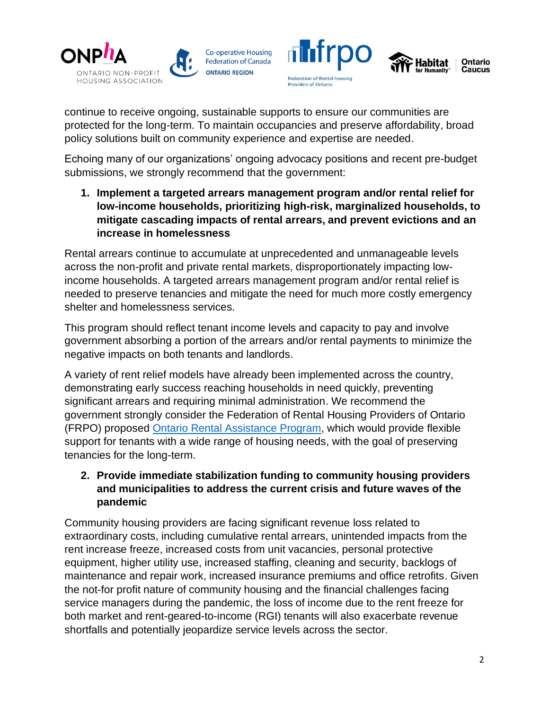





continue to receive ongoing, sustainable supports to ensure our communities are protected for the long-term. To maintain occupancies and preserve affordability, broad policy solutions built on community experience and expertise are needed.

Echoing many of our organizations' ongoing advocacy positions and recent pre-budget submissions, we strongly recommend that the government:

**1. Implement a targeted arrears management program and/or rental relief for low-income households, prioritizing high-risk, marginalized households, to mitigate cascading impacts of rental arrears, and prevent evictions and an increase in homelessness**

Rental arrears continue to accumulate at unprecedented and unmanageable levels across the non-profit and private rental markets, disproportionately impacting lowincome households. A targeted arrears management program and/or rental relief is needed to preserve tenancies and mitigate the need for much more costly emergency shelter and homelessness services.

This program should reflect tenant income levels and capacity to pay and involve government absorbing a portion of the arrears and/or rental payments to minimize the negative impacts on both tenants and landlords.

A variety of rent relief models have already been implemented across the country, demonstrating early success reaching households in need quickly, preventing significant arrears and requiring minimal administration. We recommend the government strongly consider the Federation of Rental Housing Providers of Ontario (FRPO) proposed [Ontario Rental Assistance Program,](https://www.frpo.org/wp-content/uploads/2020/10/FRPO-2020-Ontario-Budget-Submission-2020-10-15.pdf) which would provide flexible support for tenants with a wide range of housing needs, with the goal of preserving tenancies for the long-term.

### **2. Provide immediate stabilization funding to community housing providers and municipalities to address the current crisis and future waves of the pandemic**

Community housing providers are facing significant revenue loss related to extraordinary costs, including cumulative rental arrears, unintended impacts from the rent increase freeze, increased costs from unit vacancies, personal protective equipment, higher utility use, increased staffing, cleaning and security, backlogs of maintenance and repair work, increased insurance premiums and office retrofits. Given the not-for profit nature of community housing and the financial challenges facing service managers during the pandemic, the loss of income due to the rent freeze for both market and rent-geared-to-income (RGI) tenants will also exacerbate revenue shortfalls and potentially jeopardize service levels across the sector.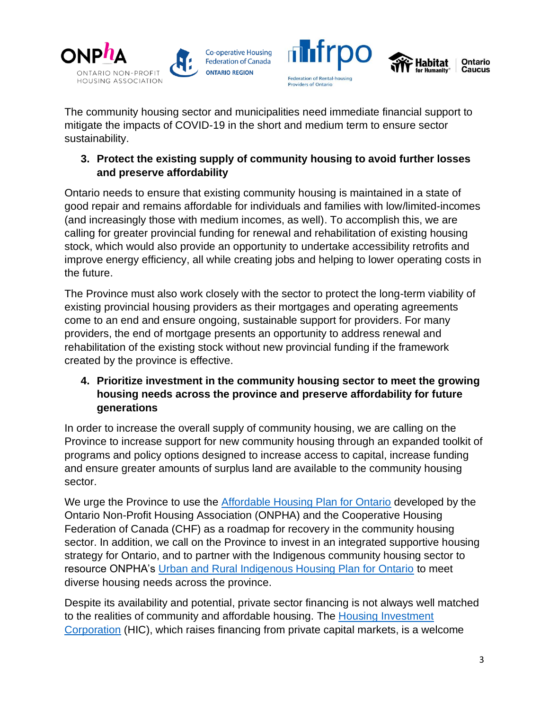





The community housing sector and municipalities need immediate financial support to mitigate the impacts of COVID-19 in the short and medium term to ensure sector sustainability.

## **3. Protect the existing supply of community housing to avoid further losses and preserve affordability**

Ontario needs to ensure that existing community housing is maintained in a state of good repair and remains affordable for individuals and families with low/limited-incomes (and increasingly those with medium incomes, as well). To accomplish this, we are calling for greater provincial funding for renewal and rehabilitation of existing housing stock, which would also provide an opportunity to undertake accessibility retrofits and improve energy efficiency, all while creating jobs and helping to lower operating costs in the future.

The Province must also work closely with the sector to protect the long-term viability of existing provincial housing providers as their mortgages and operating agreements come to an end and ensure ongoing, sustainable support for providers. For many providers, the end of mortgage presents an opportunity to address renewal and rehabilitation of the existing stock without new provincial funding if the framework created by the province is effective.

## **4. Prioritize investment in the community housing sector to meet the growing housing needs across the province and preserve affordability for future generations**

In order to increase the overall supply of community housing, we are calling on the Province to increase support for new community housing through an expanded toolkit of programs and policy options designed to increase access to capital, increase funding and ensure greater amounts of surplus land are available to the community housing sector.

We urge the Province to use the Affordable Housing Plan for Ontario developed by the Ontario Non-Profit Housing Association (ONPHA) and the Cooperative Housing Federation of Canada (CHF) as a roadmap for recovery in the community housing sector. In addition, we call on the Province to invest in an integrated supportive housing strategy for Ontario, and to partner with the Indigenous community housing sector to resource ONPHA's Urban and Rural Indigenous Housing Plan for Ontario to meet diverse housing needs across the province.

Despite its availability and potential, private sector financing is not always well matched to the realities of community and affordable housing. The Housing Investment [Corporation](http://www.housinginvestment.ca/) (HIC), which raises financing from private capital markets, is a welcome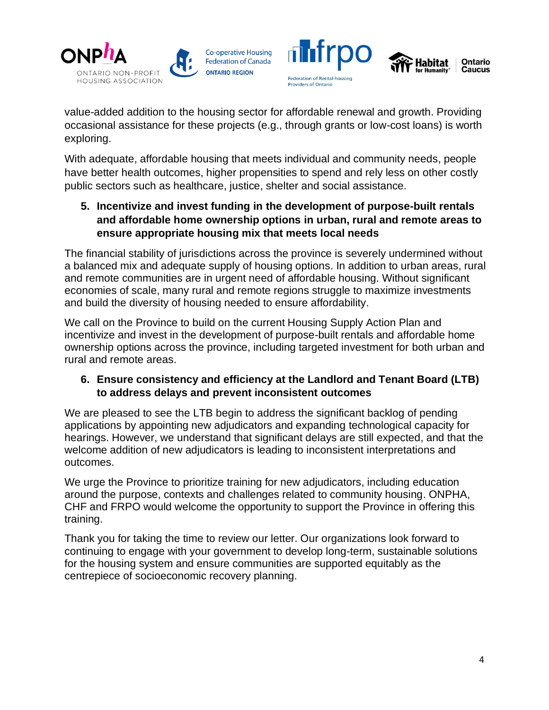





value-added addition to the housing sector for affordable renewal and growth. Providing occasional assistance for these projects (e.g., through grants or low-cost loans) is worth exploring.

With adequate, affordable housing that meets individual and community needs, people have better health outcomes, higher propensities to spend and rely less on other costly public sectors such as healthcare, justice, shelter and social assistance.

### **5. Incentivize and invest funding in the development of purpose-built rentals and affordable home ownership options in urban, rural and remote areas to ensure appropriate housing mix that meets local needs**

The financial stability of jurisdictions across the province is severely undermined without a balanced mix and adequate supply of housing options. In addition to urban areas, rural and remote communities are in urgent need of affordable housing. Without significant economies of scale, many rural and remote regions struggle to maximize investments and build the diversity of housing needed to ensure affordability.

We call on the Province to build on the current Housing Supply Action Plan and incentivize and invest in the development of purpose-built rentals and affordable home ownership options across the province, including targeted investment for both urban and rural and remote areas.

## **6. Ensure consistency and efficiency at the Landlord and Tenant Board (LTB) to address delays and prevent inconsistent outcomes**

We are pleased to see the LTB begin to address the significant backlog of pending applications by appointing new adjudicators and expanding technological capacity for hearings. However, we understand that significant delays are still expected, and that the welcome addition of new adjudicators is leading to inconsistent interpretations and outcomes.

We urge the Province to prioritize training for new adjudicators, including education around the purpose, contexts and challenges related to community housing. ONPHA, CHF and FRPO would welcome the opportunity to support the Province in offering this training.

Thank you for taking the time to review our letter. Our organizations look forward to continuing to engage with your government to develop long-term, sustainable solutions for the housing system and ensure communities are supported equitably as the centrepiece of socioeconomic recovery planning.